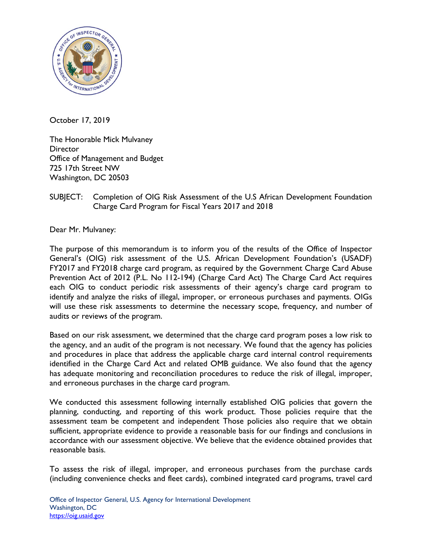

October 17, 2019

The Honorable Mick Mulvaney **Director** Office of Management and Budget 725 17th Street NW Washington, DC 20503

## SUBJECT: Completion of OIG Risk Assessment of the U.S African Development Foundation Charge Card Program for Fiscal Years 2017 and 2018

Dear Mr. Mulvaney:

The purpose of this memorandum is to inform you of the results of the Office of Inspector General's (OIG) risk assessment of the U.S. African Development Foundation's (USADF) FY2017 and FY2018 charge card program, as required by the Government Charge Card Abuse Prevention Act of 2012 (P.L. No 112-194) (Charge Card Act) The Charge Card Act requires each OIG to conduct periodic risk assessments of their agency's charge card program to identify and analyze the risks of illegal, improper, or erroneous purchases and payments. OIGs will use these risk assessments to determine the necessary scope, frequency, and number of audits or reviews of the program.

Based on our risk assessment, we determined that the charge card program poses a low risk to the agency, and an audit of the program is not necessary. We found that the agency has policies and procedures in place that address the applicable charge card internal control requirements identified in the Charge Card Act and related OMB guidance. We also found that the agency has adequate monitoring and reconciliation procedures to reduce the risk of illegal, improper, and erroneous purchases in the charge card program.

We conducted this assessment following internally established OIG policies that govern the planning, conducting, and reporting of this work product. Those policies require that the assessment team be competent and independent Those policies also require that we obtain sufficient, appropriate evidence to provide a reasonable basis for our findings and conclusions in accordance with our assessment objective. We believe that the evidence obtained provides that reasonable basis.

To assess the risk of illegal, improper, and erroneous purchases from the purchase cards (including convenience checks and fleet cards), combined integrated card programs, travel card